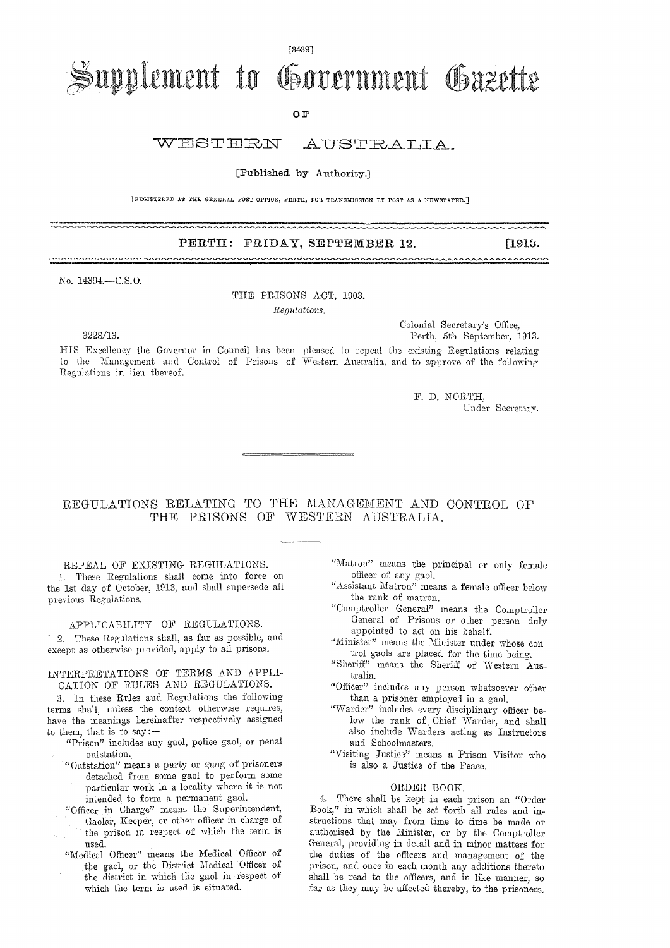### [3439]

# Supplement to Government Gazette

OF

# WESTERN AUSTRALIA.

### [Published. by Authority.]

[REGISTERED AT THE GENERAL POST OFFICE, PERTH, FOR TRANSMISSION BY POST AS A NEWSPAPER.]

## PERTH: FRIDAY, SEPTEMBER 12. [1913.]

No. 14394.—C.S.O.

THE PRISONS ACT, 1903.

*Regulations.* 

Colonial Secretary's Office, 322S/13. Perth, 5th September, 1913.

HIS Excellency the Governor in Council has been pleased to repeal the existing Regulations relating to the Management and Control of Prisons of Western Australia, and to approve of the following Regulations in lien thereof.

> F. D. NORTH, Under Secretary.

# REGULATIONS RELATING TO THE MANAGEMENT AND CONTROL OF THE PRISONS OF WESTERN AUSTRALIA.

REPEAL OF EXISTING REGULATIONS. L These Regulations shall come into force on the 1st day *of* October, 1913, and shall supersede all previous Regulations.

# APPLICABILITY OF REGULATIONS.

2. These Regulations shall, as far as possible, and except as otherwise provided, apply to all prisons.

### INTERPRETATIONS OF TERMS AND APPLI-CATION OF RULES AND REGULATIONS.

3. In these Rules and Regulations the following terms shall, unless the context otherwise requires, have the meanings hereinafter respectively assigned to them, that is to say:—

- "Prison" includes any gaol, police gaol, or penal outstation.
- "Outstation" means a party or gang of prisoners detached from some gaol to perform some particular work in a locality where it is not intended to form a permanent gaol.
- "Officer in Charge" means the Superintendent, Gaoler, Keeper, or other officer in charge of the prison in respect of which the term is used.
- "Medical Officer" means the Medical Officer of the gaol, or the District Medical Officer of the district in which the gaol in respect of which the term is used is situated.
- "Matron" means the principal or only female officer of any gaol.
- "Assistant Matron" means a female officer below the rank of matron.
- "Comptroller General" means the Comptroller General of Prisons or other person duly appointed to act on his behalf.
- "Minister" means the Minister under whose control gaols are placed for the time being.
- "Sheriff" means the Sheriff of Western Australia.
- "Officer" includes any person whatsoever other than a prisoner employed in a gaol.
- "Warder" includes every disciplinary officer below the rank of Chief Warder, and shall also include Warders acting as Instructors and Schoolmasters.
- "Visiting Justice" means a Prison Visitor who is also a Justice of the Peace.

#### ORDER BOOK.

4. There shall be kept in each prison an "Order Book," in which shall be set forth all rules and instructions that may from time to time be made or authorised by the Minister, or by the Comptroller General, providing iu detail and in minor matters for the duties of the officers and management of the prison, and once in each month any additions thereto shall he read to the officers, and in like manner, so far as they may he affected thereby, to the prisoners.